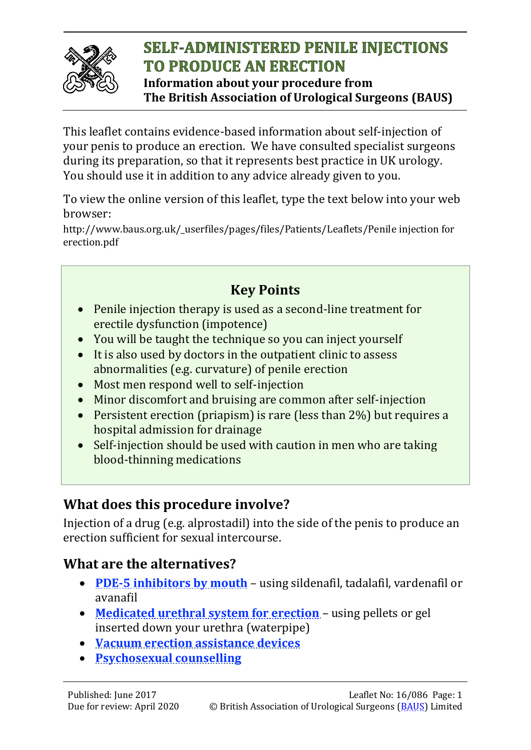

# **SELF-ADMINISTERED PENILE INJECTIONS TO PRODUCE AN ERECTION**

**Information about your procedure from The British Association of Urological Surgeons (BAUS)**

This leaflet contains evidence-based information about self-injection of your penis to produce an erection. We have consulted specialist surgeons during its preparation, so that it represents best practice in UK urology. You should use it in addition to any advice already given to you.

To view the online version of this leaflet, type the text below into your web browser:

http://www.baus.org.uk/\_userfiles/pages/files/Patients/Leaflets/Penile injection for erection.pdf

# **Key Points**

- Penile injection therapy is used as a second-line treatment for erectile dysfunction (impotence)
- You will be taught the technique so you can inject yourself
- It is also used by doctors in the outpatient clinic to assess abnormalities (e.g. curvature) of penile erection
- Most men respond well to self-injection
- Minor discomfort and bruising are common after self-injection
- Persistent erection (priapism) is rare (less than 2%) but requires a hospital admission for drainage
- Self-injection should be used with caution in men who are taking blood-thinning medications

### **What does this procedure involve?**

Injection of a drug (e.g. alprostadil) into the side of the penis to produce an erection sufficient for sexual intercourse.

### **What are the alternatives?**

- **[PDE-5 inhibitors by mouth](http://www.baus.org.uk/_userfiles/pages/files/Patients/Leaflets/Viagra.pdf)** [using sildenafil, tada](http://www.baus.org.uk/_userfiles/pages/files/Patients/Leaflets/Viagra.pdf)lafil, vardenafil or avanafil
- **[Medicated urethral system for erection](http://edguidance.com/muse-treatment/)** [using pellets or gel](http://edguidance.com/muse-treatment/) [inserted down](http://edguidance.com/muse-treatment/) your urethra (waterpipe)
- **[Vacuum erection assistance devices](http://www.baus.org.uk/_userfiles/pages/files/Patients/Leaflets/VEDs.pdf)**
- **[Psychosexual counselling](http://www.baus.org.uk/_userfiles/pages/files/Patients/Leaflets/VEDs.pdf)**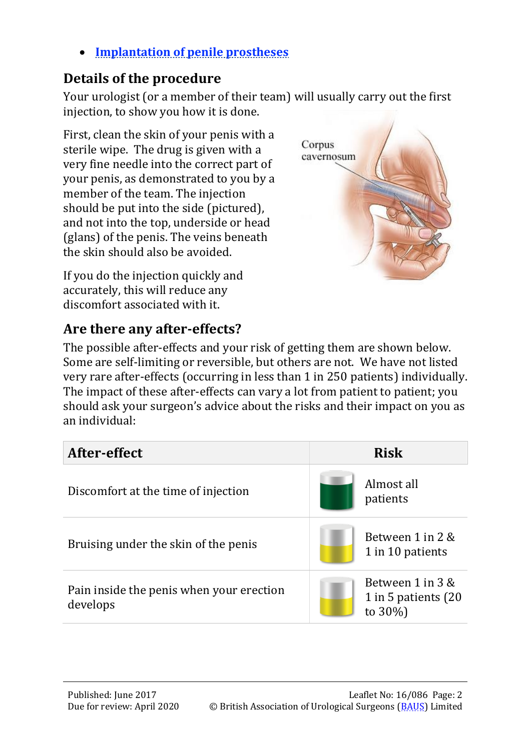• **[Implantation of penile prostheses](http://www.baus.org.uk/_userfiles/pages/files/Patients/Leaflets/Penile%20prostheses.pdf)**

# **[Details of the procedure](http://www.baus.org.uk/_userfiles/pages/files/Patients/Leaflets/Penile prostheses.pdf)**

[Your uro](http://www.baus.org.uk/_userfiles/pages/files/Patients/Leaflets/Penile prostheses.pdf)logist (or a member of their team) will usually carry out the first injection, to show you how it is done.

First, clean the skin of your penis with a sterile wipe. The drug is given with a very fine needle into the correct part of your penis, as demonstrated to you by a member of the team. The injection should be put into the side (pictured), and not into the top, underside or head (glans) of the penis. The veins beneath the skin should also be avoided.

If you do the injection quickly and accurately, this will reduce any discomfort associated with it.

# **Are there any after-effects?**

Corpus cavernosum

The possible after-effects and your risk of getting them are shown below. Some are self-limiting or reversible, but others are not. We have not listed very rare after-effects (occurring in less than 1 in 250 patients) individually. The impact of these after-effects can vary a lot from patient to patient; you should ask your surgeon's advice about the risks and their impact on you as an individual:

| After-effect                                         | <b>Risk</b>                                            |  |
|------------------------------------------------------|--------------------------------------------------------|--|
| Discomfort at the time of injection                  | Almost all<br>patients                                 |  |
| Bruising under the skin of the penis                 | Between 1 in 2 &<br>1 in 10 patients                   |  |
| Pain inside the penis when your erection<br>develops | Between 1 in 3 &<br>1 in 5 patients (20<br>to $30\%$ ) |  |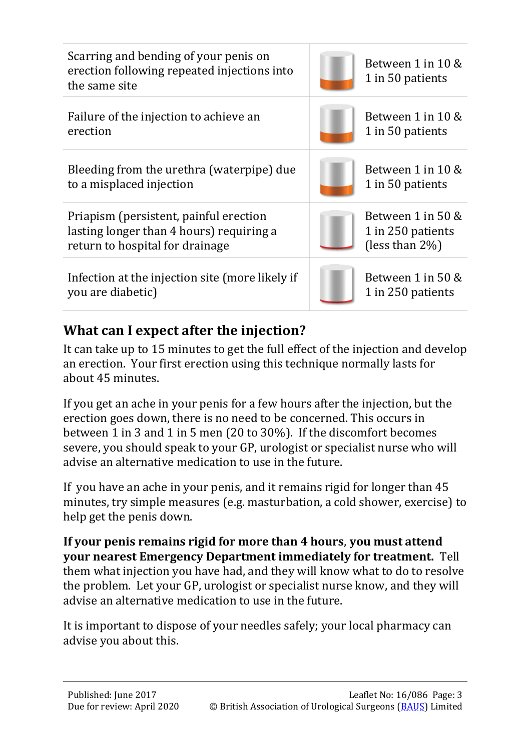| Scarring and bending of your penis on<br>erection following repeated injections into<br>the same site                 | Between 1 in 10 &<br>1 in 50 patients                        |
|-----------------------------------------------------------------------------------------------------------------------|--------------------------------------------------------------|
| Failure of the injection to achieve an<br>erection                                                                    | Between 1 in 10 &<br>1 in 50 patients                        |
| Bleeding from the urethra (waterpipe) due<br>to a misplaced injection                                                 | Between 1 in 10 &<br>1 in 50 patients                        |
| Priapism (persistent, painful erection<br>lasting longer than 4 hours) requiring a<br>return to hospital for drainage | Between 1 in 50 &<br>1 in 250 patients<br>(less than $2\%$ ) |
| Infection at the injection site (more likely if<br>you are diabetic)                                                  | Between 1 in 50 &<br>1 in 250 patients                       |

### **What can I expect after the injection?**

It can take up to 15 minutes to get the full effect of the injection and develop an erection. Your first erection using this technique normally lasts for about 45 minutes.

If you get an ache in your penis for a few hours after the injection, but the erection goes down, there is no need to be concerned. This occurs in between 1 in 3 and 1 in 5 men (20 to 30%). If the discomfort becomes severe, you should speak to your GP, urologist or specialist nurse who will advise an alternative medication to use in the future.

If you have an ache in your penis, and it remains rigid for longer than 45 minutes, try simple measures (e.g. masturbation, a cold shower, exercise) to help get the penis down.

**If your penis remains rigid for more than 4 hours**, **you must attend your nearest Emergency Department immediately for treatment.** Tell them what injection you have had, and they will know what to do to resolve the problem. Let your GP, urologist or specialist nurse know, and they will advise an alternative medication to use in the future.

It is important to dispose of your needles safely; your local pharmacy can advise you about this.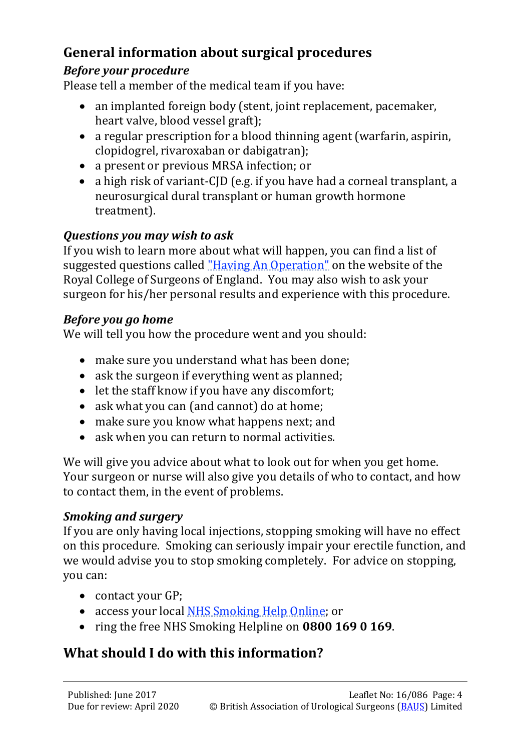# **General information about surgical procedures**

#### *Before your procedure*

Please tell a member of the medical team if you have:

- an implanted foreign body (stent, joint replacement, pacemaker, heart valve, blood vessel graft);
- a regular prescription for a blood thinning agent (warfarin, aspirin, clopidogrel, rivaroxaban or dabigatran);
- a present or previous MRSA infection; or
- a high risk of variant-CID (e.g. if you have had a corneal transplant, a neurosurgical dural transplant or human growth hormone treatment).

#### *Questions you may wish to ask*

If you wish to learn more about what will happen, you can find a list of suggested questions called ["Having An Operation"](https://www.rcseng.ac.uk/-/media/files/rcs/library-and-publications/non-journal-publications/having-an-operation.pdf) [on the website of th](https://www.rcseng.ac.uk/-/media/files/rcs/library-and-publications/non-journal-publications/having-an-operation.pdf)e Royal College of Surgeons of England. You may also wish to ask your surgeon for his/her personal results and experience with this procedure.

#### *Before you go home*

We will tell you how the procedure went and you should:

- make sure you understand what has been done;
- ask the surgeon if everything went as planned:
- let the staff know if you have any discomfort;
- ask what you can (and cannot) do at home:
- make sure you know what happens next; and
- ask when you can return to normal activities.

We will give you advice about what to look out for when you get home. Your surgeon or nurse will also give you details of who to contact, and how to contact them, in the event of problems.

#### *Smoking and surgery*

If you are only having local injections, stopping smoking will have no effect on this procedure. Smoking can seriously impair your erectile function, and we would advise you to stop smoking completely. For advice on stopping, you can:

- contact your GP;
- access your local [NHS Smoking Help Online; or](http://www.nhs.uk/smokefree/help-and-advice/local-support-services-helplines)
- [ring the free NHS](http://www.nhs.uk/smokefree/help-and-advice/local-support-services-helplines) Smoking Helpline on **0800 169 0 169**.

# **What should I do with this information?**